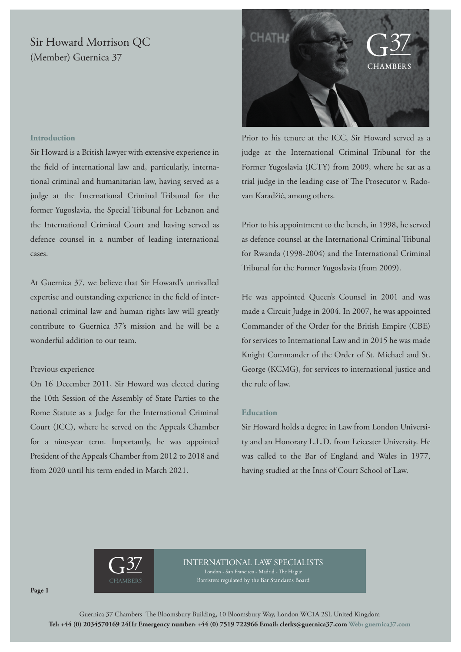# Sir Howard Morrison QC (Member) Guernica 37



Prior to his tenure at the ICC, Sir Howard served as a judge at the International Criminal Tribunal for the Former Yugoslavia (ICTY) from 2009, where he sat as a trial judge in the leading case of The Prosecutor v. Radovan Karadžić, among others.

Prior to his appointment to the bench, in 1998, he served as defence counsel at the International Criminal Tribunal for Rwanda (1998-2004) and the International Criminal Tribunal for the Former Yugoslavia (from 2009).

He was appointed Queen's Counsel in 2001 and was made a Circuit Judge in 2004. In 2007, he was appointed Commander of the Order for the British Empire (CBE) for services to International Law and in 2015 he was made Knight Commander of the Order of St. Michael and St. George (KCMG), for services to international justice and the rule of law.

#### **Education**

Sir Howard holds a degree in Law from London University and an Honorary L.L.D. from Leicester University. He was called to the Bar of England and Wales in 1977, having studied at the Inns of Court School of Law.

## **Introduction**

Sir Howard is a British lawyer with extensive experience in the field of international law and, particularly, international criminal and humanitarian law, having served as a judge at the International Criminal Tribunal for the former Yugoslavia, the Special Tribunal for Lebanon and the International Criminal Court and having served as defence counsel in a number of leading international cases.

At Guernica 37, we believe that Sir Howard's unrivalled expertise and outstanding experience in the field of international criminal law and human rights law will greatly contribute to Guernica 37's mission and he will be a wonderful addition to our team.

## Previous experience

On 16 December 2011, Sir Howard was elected during the 10th Session of the Assembly of State Parties to the Rome Statute as a Judge for the International Criminal Court (ICC), where he served on the Appeals Chamber for a nine-year term. Importantly, he was appointed President of the Appeals Chamber from 2012 to 2018 and from 2020 until his term ended in March 2021.



## INTERNATIONAL LAW SPECIALISTS

London - San Francisco - Madrid - The Hague Barristers regulated by the Bar Standards Board

**Page 1**

Guernica 37 Chambers The Bloomsbury Building, 10 Bloomsbury Way, London WC1A 2SL United Kingdom **Tel: +44 (0) 2034570169 24Hr Emergency number: +44 (0) 7519 722966 Email: clerks@guernica37.com Web: guernica37.com**